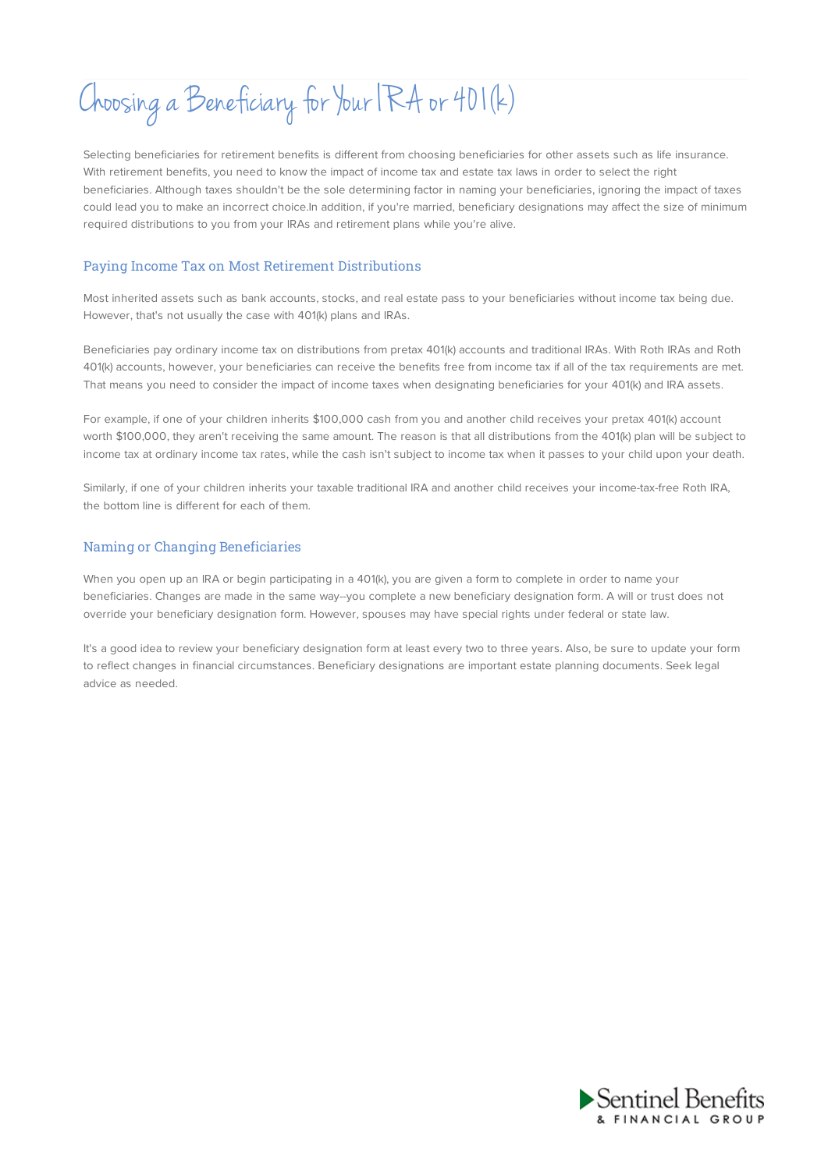# Choosing a Beneficiary for Your IRA or 401(k)

Selecting beneficiaries for retirement benefits is different from choosing beneficiaries for other assets such as life insurance. With retirement benefits, you need to know the impact of income tax and estate tax laws in order to select the right beneficiaries. Although taxes shouldn't be the sole determining factor in naming your beneficiaries, ignoring the impact of taxes could lead you to make an incorrect choice.In addition, if you're married, beneficiary designations may affect the size of minimum required distributions to you from your IRAs and retirement plans while you're alive.

## Paying Income Tax on Most Retirement Distributions

Most inherited assets such as bank accounts, stocks, and real estate pass to your beneficiaries without income tax being due. However, that's not usually the case with 401(k) plans and IRAs.

Beneficiaries pay ordinary income tax on distributions from pretax 401(k) accounts and traditional IRAs. With Roth IRAs and Roth 401(k) accounts, however, your beneficiaries can receive the benefits free from income tax if all of the tax requirements are met. That means you need to consider the impact of income taxes when designating beneficiaries for your 401(k) and IRA assets.

For example, if one of your children inherits \$100,000 cash from you and another child receives your pretax 401(k) account worth \$100,000, they aren't receiving the same amount. The reason is that all distributions from the 401(k) plan will be subject to income tax at ordinary income tax rates, while the cash isn't subject to income tax when it passes to your child upon your death.

Similarly, if one of your children inherits your taxable traditional IRA and another child receives your income-tax-free Roth IRA, the bottom line is different for each of them.

## Naming or Changing Beneficiaries

When you open up an IRA or begin participating in a 401(k), you are given a form to complete in order to name your beneficiaries. Changes are made in the same way--you complete a new beneficiary designation form. A will or trust does not override your beneficiary designation form. However, spouses may have special rights under federal or state law.

It's a good idea to review your beneficiary designation form at least every two to three years. Also, be sure to update your form to reflect changes in financial circumstances. Beneficiary designations are important estate planning documents. Seek legal advice as needed.

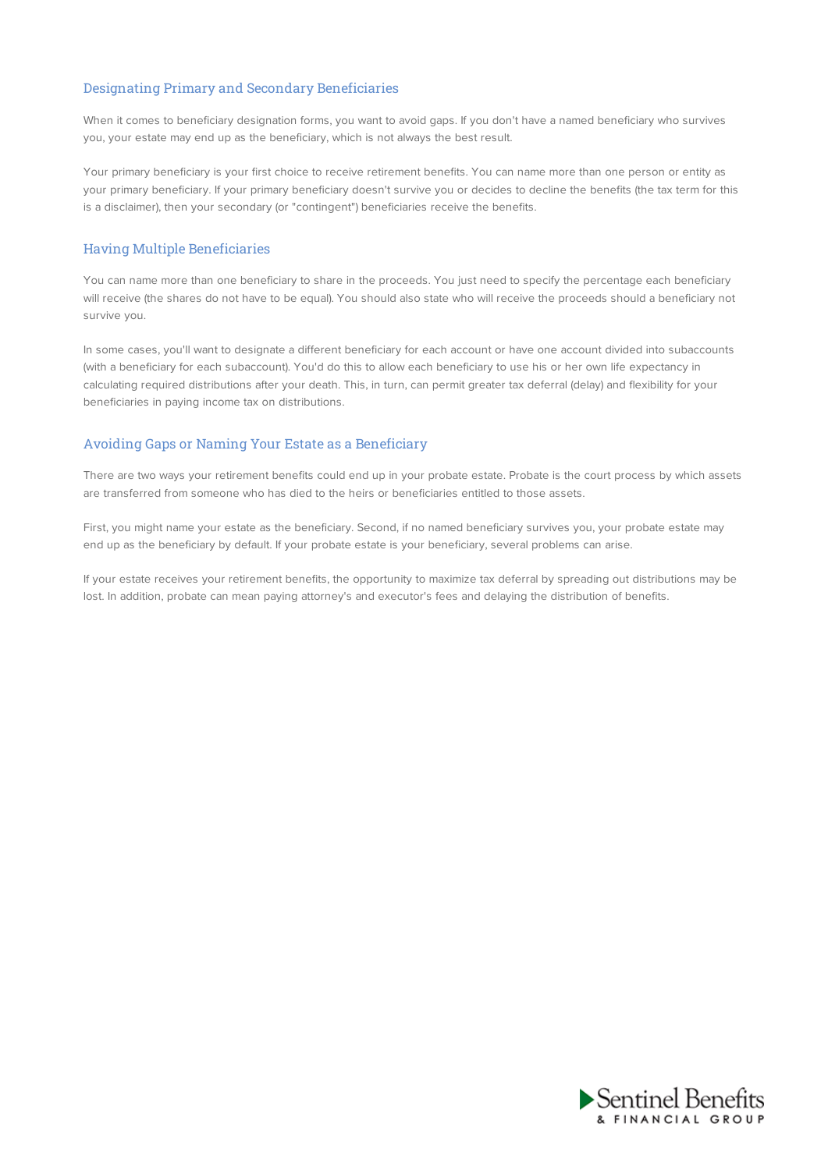## Designating Primary and Secondary Beneficiaries

When it comes to beneficiary designation forms, you want to avoid gaps. If you don't have a named beneficiary who survives you, your estate may end up as the beneficiary, which is not always the best result.

Your primary beneficiary is your first choice to receive retirement benefits. You can name more than one person or entity as your primary beneficiary. If your primary beneficiary doesn't survive you or decides to decline the benefits (the tax term for this is a disclaimer), then your secondary (or "contingent") beneficiaries receive the benefits.

## Having Multiple Beneficiaries

You can name more than one beneficiary to share in the proceeds. You just need to specify the percentage each beneficiary will receive (the shares do not have to be equal). You should also state who will receive the proceeds should a beneficiary not survive you.

In some cases, you'll want to designate a different beneficiary for each account or have one account divided into subaccounts (with a beneficiary for each subaccount). You'd do this to allow each beneficiary to use his or her own life expectancy in calculating required distributions after your death. This, in turn, can permit greater tax deferral (delay) and flexibility for your beneficiaries in paying income tax on distributions.

## Avoiding Gaps or Naming Your Estate as a Beneficiary

There are two ways your retirement benefits could end up in your probate estate. Probate is the court process by which assets are transferred from someone who has died to the heirs or beneficiaries entitled to those assets.

First, you might name your estate as the beneficiary. Second, if no named beneficiary survives you, your probate estate may end up as the beneficiary by default. If your probate estate is your beneficiary, several problems can arise.

If your estate receives your retirement benefits, the opportunity to maximize tax deferral by spreading out distributions may be lost. In addition, probate can mean paying attorney's and executor's fees and delaying the distribution of benefits.